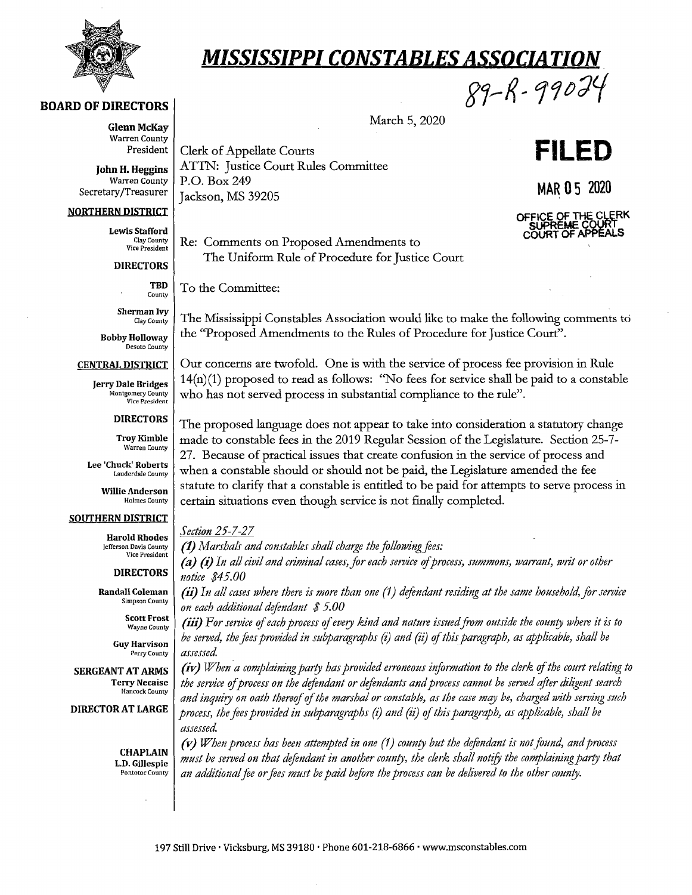

**BOARD OF DIRECTORS** 

# *MISSISSIPPI CONSTABLES ASSOCIATION*

**Glenn McKay**  Warren County

**President Clerk of Appellate Courts**<br> **John H. Heggins ATTN:** Justice Court Rules Committee Warren County | P.O. Box 249 MAR  $05$  2020 MAR $\overline{05}$  2020 MAR $\overline{05}$  2020

#### **NORTHERN DISTRICT**

**Lewis Stafford**  Clay County Vice President

**DIRECTORS** 

**TBD** 

County **Sherman Ivy** 

Clay County **Bobby Holloway** 

Desoto County

**CENTRAL DISTRICT** 

**Jerry Dale Bridges**  Montgomery County Vice President

**DIRECTORS** 

**Troy Kimble**  Warren County

**Lee 'Chuck' Roberts** Lauderdale County

> **Willie Anderson**  Holmes County

### **SOUTHERN DISTRICT**

**Harold Rhodes** Jefferson Davis County Vice President

**DIRECTORS** 

Randall Coleman Simpson County

> Scott Frost Wayne County

Guy Harvison Perry County

SERGEANT AT ARMS Terry Necaise Hancock County

**DIRECTOR AT LARGE** 

**CHAPLAIN L.D. Gillespie** Pontotoc County

Re: Comments on Proposed Amendments to The Uniform Rule of Procedure for Justice Court

To the Committee:

The Mississippi Constables Association would like to make the following comments to the ''Proposed Amendments to the Rules of Procedure for Justice Court".

Our concerns are twofold. One is with the service of process fee provision in Rule 14(n)(1) proposed to read as follows: "No fees for service shall be paid to a constable who has not served process in substantial compliance to the rule".

The proposed language does not appear to take into consideration a statutory change made to constable fees in the 2019 Regular Session of the Legislature. Section 25-7- 27. Because of practical issues that create confusion in the service of process and when a constable should or should not be paid, the Legislature amended the fee statute to clarify that a constable is entitled to be paid for attempts to serve process in certain situations even though service is not finally completed.

### *Section 25-7-27*

**(1)** *Marshals and constables shall charge the following fees:* 

*(a) (i)* In all civil and criminal cases, for each service of process, summons, warrant, writ or other *notice \$4 5.00* 

(ii) In all cases where there is more than one (1) defendant residing at the same household, for service *on each additional defendant* \$ *5.00* 

(iii) *For service* ef *each process* ef *every kind and nature isstted from outside the counry where it is to be served, the fees provided in subparagraphs (i) and (ii) ofthisparagraph, as applicable, shall be assessed* 

*(iv) When ·a complaining parry has provided erroneous information to the clerk* ef *the court relating to the service* ef *process on the defendant or defendants and process cannot be served efter diligent search and inquiry on oath thereof of the marshal or constable, as the case may be, charged with serving such process, the fees provided in subparagraphs (i) and (ii)* ef *this paragraph, as applicable, shall be assessed* 

*(v) When process has been attempted in one (1) county but the defendant is not found, and process must be served on that defendant in another county, the clerk shall notify the complaining party that* an additional fee or fees must be paid before the process can be delivered to the other county.



89-R-99024

OFFICE OF THE CLERK SUPREME COURT<br>COURT OF APPEALS